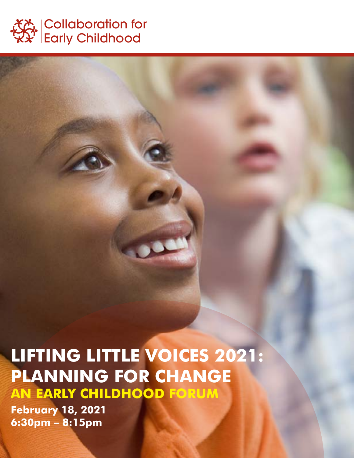

## **LIFTING LITTLE VOICES 2021: PLANNING FOR CHANGE AN EARLY CHILDHOOD FORUM**

**February 18, 2021 6:30pm – 8:15pm**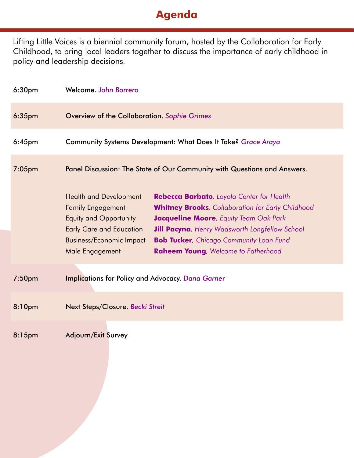## **Agenda**

Lifting Little Voices is a biennial community forum, hosted by the Collaboration for Early Childhood, to bring local leaders together to discuss the importance of early childhood in policy and leadership decisions.

| 6:30 <sub>pm</sub> | Welcome. John Borrero                                                                                                                                                                                                                                                                                                                                                                                                                                                                        |
|--------------------|----------------------------------------------------------------------------------------------------------------------------------------------------------------------------------------------------------------------------------------------------------------------------------------------------------------------------------------------------------------------------------------------------------------------------------------------------------------------------------------------|
| $6:35$ pm          | Overview of the Collaboration. Sophie Grimes                                                                                                                                                                                                                                                                                                                                                                                                                                                 |
| $6:45$ pm          | Community Systems Development: What Does It Take? Grace Araya                                                                                                                                                                                                                                                                                                                                                                                                                                |
| $7:05$ pm          | Panel Discussion: The State of Our Community with Questions and Answers.                                                                                                                                                                                                                                                                                                                                                                                                                     |
|                    | <b>Health and Development</b><br>Rebecca Barbato, Loyola Center for Health<br><b>Family Engagement</b><br><b>Whitney Brooks</b> , Collaboration for Early Childhood<br>Jacqueline Moore, Equity Team Oak Park<br>Equity and Opportunity<br><b>Early Care and Education</b><br><b>Jill Pacyna</b> , Henry Wadsworth Longfellow School<br><b>Bob Tucker</b> , Chicago Community Loan Fund<br><b>Business/Economic Impact</b><br>Male Engagement<br><b>Raheem Young</b> , Welcome to Fatherhood |
| 7:50pm             | <b>Implications for Policy and Advocacy. Dana Garner</b>                                                                                                                                                                                                                                                                                                                                                                                                                                     |
| 8:10pm             | Next Steps/Closure. Becki Streit                                                                                                                                                                                                                                                                                                                                                                                                                                                             |
| 8:15pm             | Adjourn/Exit Survey                                                                                                                                                                                                                                                                                                                                                                                                                                                                          |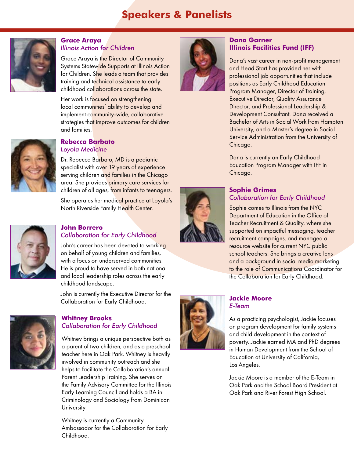## **Speakers & Panelists**



#### **Grace Araya**  *Illinois Action for Children*

Grace Araya is the Director of Community Systems Statewide Supports at Illinois Action for Children. She leads a team that provides training and technical assistance to early childhood collaborations across the state.

Her work is focused on strengthening local communities' ability to develop and implement community-wide, collaborative strategies that improve outcomes for children and families.



#### **Rebecca Barbato** *Loyola Medicine*

Dr. Rebecca Barbato, MD is a pediatric specialist with over 19 years of experience serving children and families in the Chicago area. She provides primary care services for children of all ages, from infants to teenagers.

She operates her medical practice at Loyola's North Riverside Family Health Center.



#### **John Borrero** *Collaboration for Early Childhood*

John's career has been devoted to working on behalf of young children and families, with a focus on underserved communities. He is proud to have served in both national and local leadership roles across the early childhood landscape.

John is currently the Executive Director for the Collaboration for Early Childhood.



#### **Whitney Brooks** *Collaboration for Early Childhood*

Whitney brings a unique perspective both as a parent of two children, and as a preschool teacher here in Oak Park. Whitney is heavily involved in community outreach and she helps to facilitate the Collaboration's annual Parent Leadership Training. She serves on the Family Advisory Committee for the Illinois Early Learning Council and holds a BA in Criminology and Sociology from Dominican University.

Whitney is currently a Community Ambassador for the Collaboration for Early Childhood.



#### **Dana Garner Illinois Facilities Fund (IFF)**

Dana's vast career in non-profit management and Head Start has provided her with professional job opportunities that include positions as Early Childhood Education Program Manager, Director of Training, Executive Director, Quality Assurance Director, and Professional Leadership & Development Consultant. Dana received a Bachelor of Arts in Social Work from Hampton University, and a Master's degree in Social Service Administration from the University of Chicago.

Dana is currently an Early Childhood Education Program Manager with IFF in Chicago.

#### **Sophie Grimes** *Collaboration for Early Childhood*

Sophie comes to Illinois from the NYC Department of Education in the Office of Teacher Recruitment & Quality, where she supported on impactful messaging, teacher recruitment campaigns, and managed a resource website for current NYC public school teachers. She brings a creative lens and a background in social media marketing to the role of Communications Coordinator for the Collaboration for Early Childhood.



#### **Jackie Moore** *E-Team*

As a practicing psychologist, Jackie focuses on program development for family systems and child development in the context of poverty. Jackie earned MA and PhD degrees in Human Development from the School of Education at University of California, Los Angeles.

Jackie Moore is a member of the E-Team in Oak Park and the School Board President at Oak Park and River Forest High School.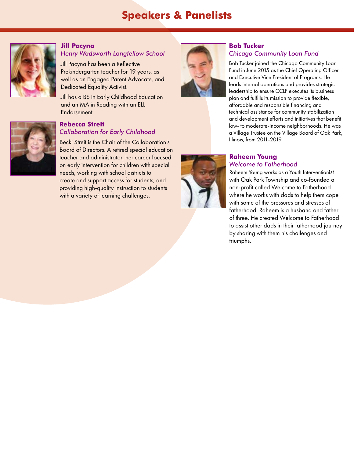## **Speakers & Panelists**



#### **Jill Pacyna**

#### *Henry Wadsworth Longfellow School*

Jill Pacyna has been a Reflective Prekindergarten teacher for 19 years, as well as an Engaged Parent Advocate, and Dedicated Equality Activist.

Jill has a BS in Early Childhood Education and an MA in Reading with an ELL Endorsement.

# **Rebecca Streit**

## *Collaboration for Early Childhood*

Becki Streit is the Chair of the Collaboration's Board of Directors. A retired special education teacher and administrator, her career focused on early intervention for children with special needs, working with school districts to create and support access for students, and providing high-quality instruction to students with a variety of learning challenges.



#### **Bob Tucker** *Chicago Community Loan Fund*

Bob Tucker joined the Chicago Community Loan Fund in June 2015 as the Chief Operating Officer and Executive Vice President of Programs. He leads internal operations and provides strategic leadership to ensure CCLF executes its business plan and fulfills its mission to provide flexible, affordable and responsible financing and technical assistance for community stabilization and development efforts and initiatives that benefit low- to moderate-income neighborhoods. He was a Village Trustee on the Village Board of Oak Park, Illinois, from 2011-2019.

#### **Raheem Young** *Welcome to Fatherhood*

Raheem Young works as a Youth Interventionist with Oak Park Township and co-founded a non-profit called Welcome to Fatherhood where he works with dads to help them cope with some of the pressures and stresses of fatherhood. Raheem is a husband and father of three. He created Welcome to Fatherhood to assist other dads in their fatherhood journey by sharing with them his challenges and triumphs.

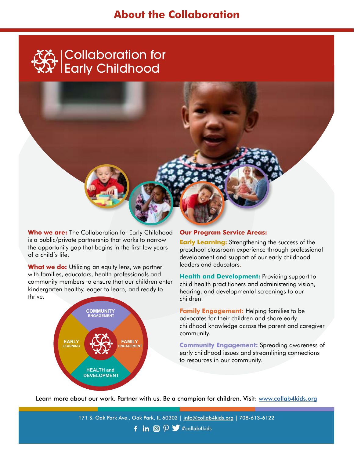### **About the Collaboration**





**Who we are:** The Collaboration for Early Childhood is a public/private partnership that works to narrow the opportunity gap that begins in the first few years of a child's life.

**What we do:** Utilizing an equity lens, we partner with families, educators, health professionals and community members to ensure that our children enter kindergarten healthy, eager to learn, and ready to thrive.



#### **Our Program Service Areas:**

**Early Learning:** Strengthening the success of the preschool classroom experience through professional development and support of our early childhood leaders and educators.

**Health and Development:** Providing support to child health practitioners and administering vision, hearing, and developmental screenings to our children.

**Family Engagement:** Helping families to be advocates for their children and share early childhood knowledge across the parent and caregiver community.

**Community Engagement:** Spreading awareness of early childhood issues and streamlining connections to resources in our community.

Learn more about our work. Partner with us. Be a champion for children. Visit: www.collab4kids.org

**f** in  $\textcircled{p}$   $\blacktriangleright$  #collab4kids 171 S. Oak Park Ave., Oak Park, IL 60302 | info@collab4kids.org | 708-613-6122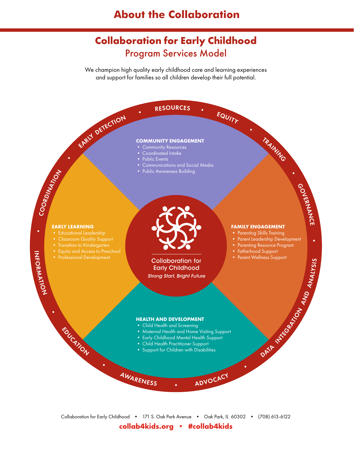## **About the Collaboration**

## **Collaboration for Early Childhood** Program Services Model

We champion high quality early childhood care and learning experiences and support for families so all children develop their full potential.



#### **COMMUNITY ENGAGEMENT**

- Community Resources
- Coordinated Intake
- Public Events
- Communications and Social Media
- Public Awareness Building

#### **EARLY LEARNING**

- Educational Leadership
- Classroom Quality Support
- Transition to Kindergarten
- 
- 

EDUCATION

IN F O

•

**RANATOM** 

•



**Collaboration for Early Childhood Strong Start, Bright Future** 

#### **FAMILY ENGAGEMENT**

- Parenting Skills Training
- Parent Leadership Development

**INTEGRATION** 

AND

ANALYSIS

C E

- Parenting Resource Program
- Fatherhood Support
- Parent Wellness Support

**HEALTH AND DEVELOPMENT**

• Child Health and Screening

<sup>A</sup>WARENES<sup>S</sup> •

- Maternal Health and Home Visiting Support
- Early Childhood Mental Health Support
- Child Health Practitioner Support
- Idren with Disabilities<br>
ADVOCACY<br>
 ADVOCACY • Support for Children with Disabilities

Collaboration for Early Childhood • 171 S. Oak Park Avenue • Oak Park, IL 60302 • (708) 613-6122 **collab4kids.org • #collab4kids**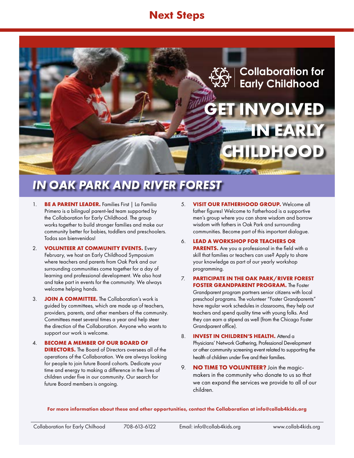## **Next Steps**



## *IN OAK PARK AND RIVER FOREST*

- 1. **BE A PARENT LEADER.** Families First | La Familia Primero is a bilingual parent-led team supported by the Collaboration for Early Childhood. The group works together to build stronger families and make our community better for babies, toddlers and preschoolers. Todos son bienvenidos!
- 2. **VOLUNTEER AT COMMUNITY EVENTS.** Every February, we host an Early Childhood Symposium where teachers and parents from Oak Park and our surrounding communities come together for a day of learning and professional development. We also host and take part in events for the community. We always welcome helping hands.
- 3. **JOIN A COMMITTEE.** The Collaboration's work is guided by committees, which are made up of teachers, providers, parents, and other members of the community. Committees meet several times a year and help steer the direction of the Collaboration. Anyone who wants to support our work is welcome.
- 4. **BECOME A MEMBER OF OUR BOARD OF DIRECTORS.** The Board of Directors oversees all of the operations of the Collaboration. We are always looking for people to join future Board cohorts. Dedicate your time and energy to making a difference in the lives of children under five in our community. Our search for future Board members is ongoing.
- 5. **VISIT OUR FATHERHOOD GROUP.** Welcome all father figures! Welcome to Fatherhood is a supportive men's group where you can share wisdom and borrow wisdom with fathers in Oak Park and surrounding communities. Become part of this important dialogue.
- 6. **LEAD A WORKSHOP FOR TEACHERS OR PARENTS.** Are you a professional in the field with a skill that families or teachers can use? Apply to share your knowledge as part of our yearly workshop programming.
- 7. **PARTICIPATE IN THE OAK PARK/RIVER FOREST FOSTER GRANDPARENT PROGRAM.** The Foster Grandparent program partners senior citizens with local preschool programs. The volunteer "Foster Grandparents" have regular work schedules in classrooms, they help out teachers and spend quality time with young folks. And they can earn a stipend as well (from the Chicago Foster Grandparent office).
- 8. **INVEST IN CHILDREN'S HEALTH.** Attend a Physicians' Network Gathering, Professional Development or other community screening event related to supporting the health of children under five and their families.
- 9. **NO TIME TO VOLUNTEER?** Join the magicmakers in the community who donate to us so that we can expand the services we provide to all of our children.

#### **For more information about these and other opportunities, contact the Collaboration at info@collab4kids.org**